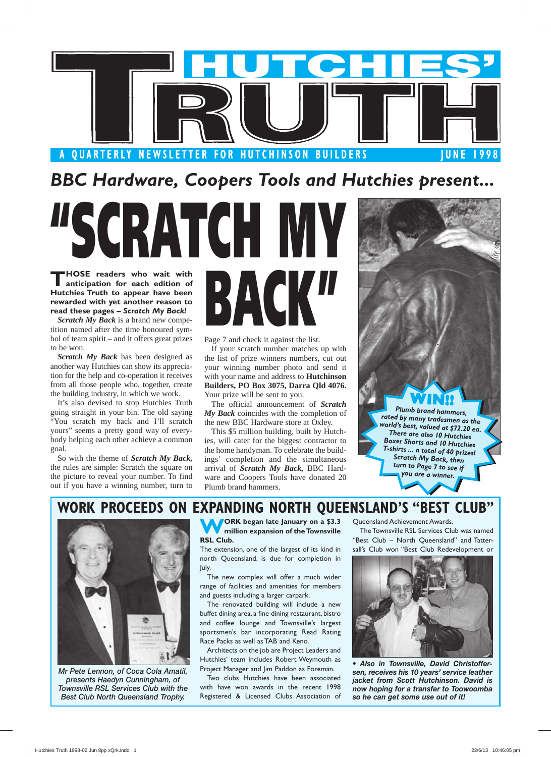

*BBC Hardware, Coopers Tools and Hutchies present...*

**THOSE readers who wait with anticipation for each edition of Hutchies Truth to appear have been rewarded with yet another reason to read these pages –** *Scratch My Back!* 

*Scratch My Back* is a brand new competition named after the time honoured symbol of team spirit – and it offers great prizes to be won.

*Scratch My Back* has been designed as another way Hutchies can show its appreciation for the help and co-operation it receives from all those people who, together, create the building industry, in which we work.

It's also devised to stop Hutchies Truth going straight in your bin. The old saying "You scratch my back and I'll scratch yours" seems a pretty good way of everybody helping each other achieve a common goal.

So with the theme of *Scratch My Back,*  the rules are simple: Scratch the square on the picture to reveal your number. To find out if you have a winning number, turn to

**BATCH M BAC** 

Page 7 and check it against the list.

If your scratch number matches up with the list of prize winners numbers, cut out your winning number photo and send it with your name and address to **Hutchinson Builders, PO Box 3075, Darra Qld 4076.**  Your prize will be sent to you.

The official announcement of *Scratch My Back* coincides with the completion of the new BBC Hardware store at Oxley.

This \$5 million building, built by Hutchies, will cater for the biggest contractor to the home handyman. To celebrate the buildings' completion and the simultaneous arrival of *Scratch My Back,* BBC Hardware and Coopers Tools have donated 20 Plumb brand hammers.

# **WIN!!** *Plumb brand hammers, rated by many tradesmen as the world's best, valued at \$72.20 ea. There are also 10 Hutchies Boxer Shorts and 10 Hutchies T-shirts ... a total of 40 prizes! Scratch My Back, then turn to Page 7 to see if you are a winner.*

## **WORK PROCEEDS ON EXPANDING NORTH QUEENSLAND'S "BEST CLUB"**



*Mr Pete Lennon, of Coca Cola Amatil, presents Haedyn Cunningham, of Townsville RSL Services Club with the Best Club North Queensland Trophy.*

**WORK began late January on a \$3.3 mill ion expansion of the Towns ville RSL Club.** 

The extension, one of the largest of its kind in north Queensland, is due for completion in July.

The new complex will offer a much wider range of facilities and amenities for members and guests including a larger carpark.

The renovated building will include a new buffet dining area, a fine dining restaurant, bistro and coffee lounge and Townsville's largest sportsmen's bar incorporating Read Rating Race Packs as well as TAB and Keno.

Architects on the job are Project Leaders and Hutchies' team includes Robert Weymouth as Project Manager and Jim Paddon as Foreman.

Two clubs Hutchies have been associated with have won awards in the recent 1998 Registered & Licensed Clubs Association of Queensland Achievement Awards.

The Townsville RSL Services Club was named "Best Club – North Queensland" and Tattersall's Club won "Best Club Redevelopment or



Also in Townsville, David Christoffer*sen, receives his 10 years' service leather jacket from Scott Hutchinson. David is now hoping for a transfer to Toowoomba so he can get some use out of it!*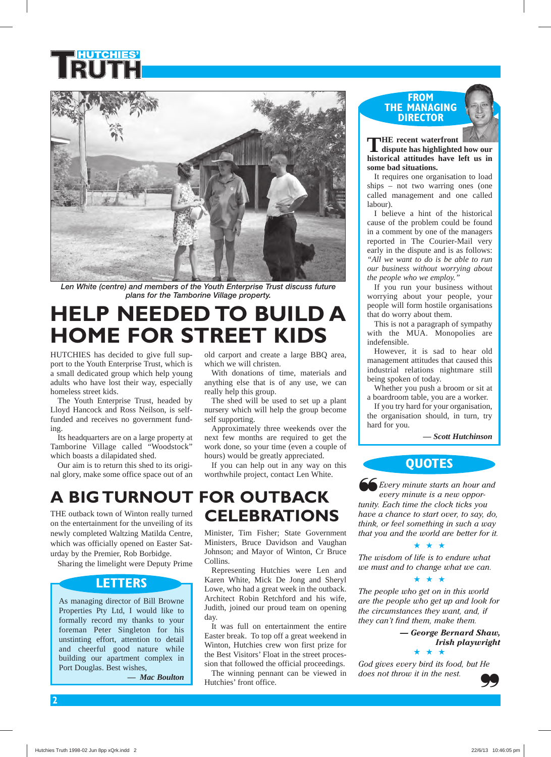

Len White (centre) and members of the Youth Enterprise Trust discuss future *plans for the Tamborine Village property.*

## **HELP NEEDED TO BUILD A HOME FOR STREET KIDS**

HUTCHIES has decided to give full support to the Youth Enterprise Trust, which is a small dedicated group which help young adults who have lost their way, especially homeless street kids.

The Youth Enterprise Trust, headed by Lloyd Hancock and Ross Neilson, is selffunded and receives no government funding.

Its headquarters are on a large property at Tamborine Village called "Woodstock" which boasts a dilapidated shed.

Our aim is to return this shed to its original glory, make some office space out of an

newly completed Waltzing Matilda Centre, which was officially opened on Easter Saturday by the Premier, Rob Borbidge.

Sharing the limelight were Deputy Prime

As managing director of Bill Browne Properties Pty Ltd, I would like to formally record my thanks to your foreman Peter Singleton for his unstinting effort, attention to detail and cheerful good nature while building our apartment complex in

**LETTERS**

*— Mac Boulton*

Port Douglas. Best wishes,

old carport and create a large BBQ area, which we will christen.

With donations of time, materials and anything else that is of any use, we can really help this group.

The shed will be used to set up a plant nursery which will help the group become self supporting.

Approximately three weekends over the next few months are required to get the work done, so your time (even a couple of hours) would be greatly appreciated.

If you can help out in any way on this worthwhile project, contact Len White.

#### THE outback town of Winton really turned on the entertainment for the unveiling of its **A BIG TURNOUT FOR OUTBACK CELEBRATIONS**

Minister, Tim Fisher; State Government Ministers, Bruce Davidson and Vaughan Johnson; and Mayor of Winton, Cr Bruce Collins.

Representing Hutchies were Len and Karen White, Mick De Jong and Sheryl Lowe, who had a great week in the outback. Architect Robin Retchford and his wife, Judith, joined our proud team on opening day.

It was full on entertainment the entire Easter break. To top off a great weekend in Winton, Hutchies crew won first prize for the Best Visitors' Float in the street procession that followed the official proceedings.

The winning pennant can be viewed in Hutchies' front office.

#### **FROM THE MANAGING DIRECTOR**



**THE recent waterfront dispute has highlighted how our historical attitudes have left us in some bad situations.** 

It requires one organisation to load ships – not two warring ones (one called management and one called labour).

I believe a hint of the historical cause of the problem could be found in a comment by one of the managers reported in The Courier-Mail very early in the dispute and is as follows: *"All we want to do is be able to run our business without worrying about the people who we employ."* 

If you run your business without worrying about your people, your people will form hostile organisations that do worry about them.

This is not a paragraph of sympathy with the MUA. Monopolies are indefensible.

However, it is sad to hear old management attitudes that caused this industrial relations nightmare still being spoken of today.

Whether you push a broom or sit at a boardroom table, you are a worker.

If you try hard for your organisation, the organisation should, in turn, try hard for you.

 *— Scott Hutchinson*

### **QUOTES**

*Every minute starts an hour and every minute is a new oppor-***66** *Every minute starts an hour are every minute is a new opportunity. Each time the clock ticks you have a chance to start over, to say, do, think, or feel something in such a way that you and the world are better for it.* 

*The wisdom of life is to endure what we must and to change what we can.* 

★ ★ ★



*The people who get on in this world are the people who get up and look for the circumstances they want, and, if they can't find them, make them.* 

> *— George Bernard Shaw, Irish playwright* ★ ★ ★

*God gives every bird its food, but He does not throw it in the nest.* 

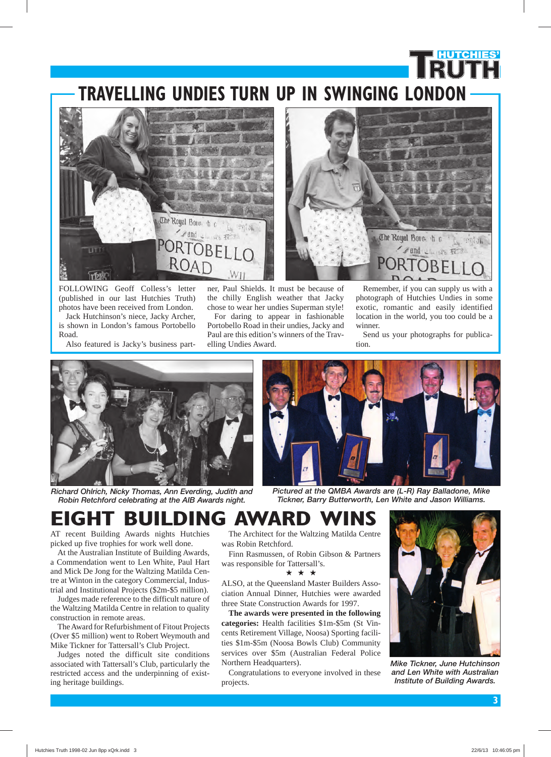## **TRAVELLING UNDIES TURN UP IN SWINGING LONDON**





FOLLOWING Geoff Colless's letter (published in our last Hutchies Truth) photos have been received from London. Jack Hutchinson's niece, Jacky Archer, is shown in London's famous Portobello Road.

Also featured is Jacky's business part-

ner, Paul Shields. It must be because of the chilly English weather that Jacky chose to wear her undies Superman style! For daring to appear in fashionable Portobello Road in their undies, Jacky and Paul are this edition's winners of the Trav-

elling Undies Award.

Remember, if you can supply us with a photograph of Hutchies Undies in some exotic, romantic and easily identified location in the world, you too could be a winner.

**HUTCHIES'**

Send us your photographs for publication.







*Pictured at the QMBA Awards are (L-R) Ray Balladone, Mike Tickner, Barry Butterworth, Len White and Jason Williams.*

## **EIGHT BUILDING AWARD WINS**

AT recent Building Awards nights Hutchies picked up five trophies for work well done.

At the Australian Institute of Building Awards, a Commendation went to Len White, Paul Hart and Mick De Jong for the Waltzing Matilda Centre at Winton in the category Commercial, Industrial and Institutional Projects (\$2m-\$5 million).

Judges made reference to the difficult nature of the Waltzing Matilda Centre in relation to quality construction in remote areas.

The Award for Refurbishment of Fitout Projects (Over \$5 million) went to Robert Weymouth and Mike Tickner for Tattersall's Club Project.

Judges noted the difficult site conditions associated with Tattersall's Club, particularly the restricted access and the underpinning of existing heritage buildings.

The Architect for the Waltzing Matilda Centre was Robin Retchford.

Finn Rasmussen, of Robin Gibson & Partners was responsible for Tattersall's.

#### ★★★

ALSO, at the Queensland Master Builders Association Annual Dinner, Hutchies were awarded three State Construction Awards for 1997.

**The awards were presented in the following categories:** Health facilities \$1m-\$5m (St Vincents Retirement Village, Noosa) Sporting facilities \$1m-\$5m (Noosa Bowls Club) Community services over \$5m (Australian Federal Police Northern Headquarters).

Congratulations to everyone involved in these projects.



*Mike Tickner, June Hutchinson and Len White with Australian Institute of Building Awards.*

Hutchies Truth 1998-02 Jun 8pp xQrk.indd 3 22/6/13 10:46:05 pm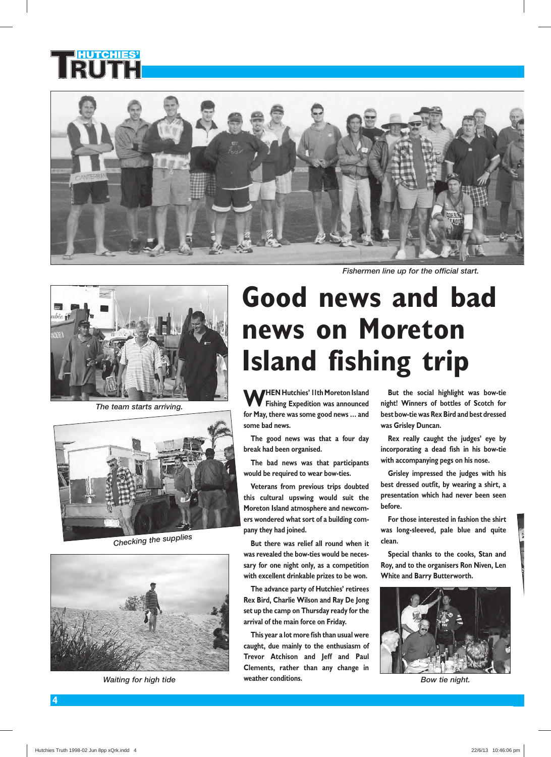



*The team starts arriving.*



*Checking the supplies*



*Waiting for high tide*

*Fishermen line up for the official start.*

# **Good news and bad news on Moreton Island fishing trip**

**WHEN Hutchies' IIth Moreton Island**<br>**Fishing Expedition was announced for May, there was some good news … and some bad news.** 

**The good news was that a four day break had been organised.** 

**The bad news was that participants would be required to wear bow-ties.** 

**Veterans from previous trips doubted this cultural upswing would suit the Moreton Island atmosphere and newcomers wondered what sort of a building company they had joined.** 

**But there was relief all round when it was revealed the bow-ties would be necessary for one night only, as a competition with excellent drinkable prizes to be won.** 

**The advance party of Hutchies' retirees Rex Bird, Charlie Wilson and Ray De Jong set up the camp on Thursday ready for the arrival of the main force on Friday.** 

**This year a lot more fish than usual were caught, due mainly to the enthusiasm of Trevor Atchison and Jeff and Paul Clements, rather than any change in weather conditions.** 

**But the social highlight was bow-tie night! Winners of bottles of Scotch for best bow-tie was Rex Bird and best dressed was Grisley Duncan.** 

**Rex really caught the judges' eye by incorporating a dead fish in his bow-tie with accompanying pegs on his nose.** 

**Grisley impressed the judges with his best dressed outfit, by wearing a shirt, a presentation which had never been seen before.** 

**For those interested in fashion the shirt was long-sleeved, pale blue and quite clean.** 

**Special thanks to the cooks, Stan and Roy, and to the organisers Ron Niven, Len White and Barry Butterworth.** 



*Bow tie night.*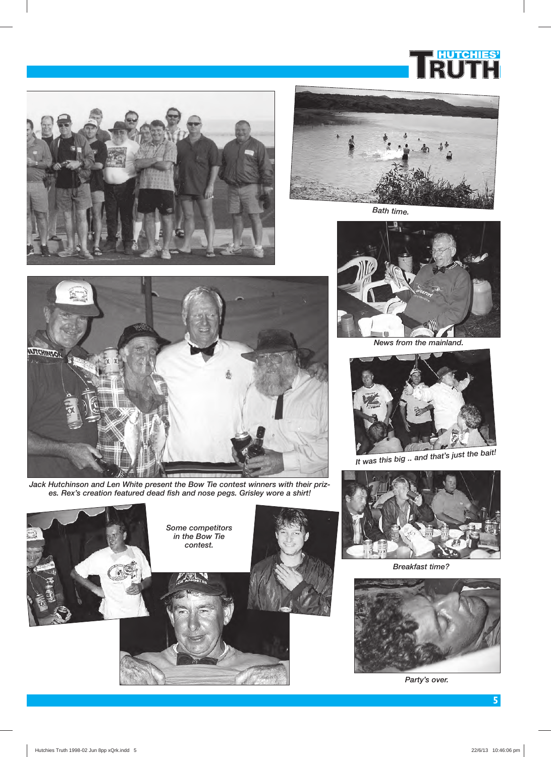





*Bath time.*





*Jack Hutchinson and Len White present the Bow Tie contest winners with their prizes. Rex's creation featured dead fish and nose pegs. Grisley wore a shirt!*



*News from the mainland.*





*Breakfast time?*



*Party's over.*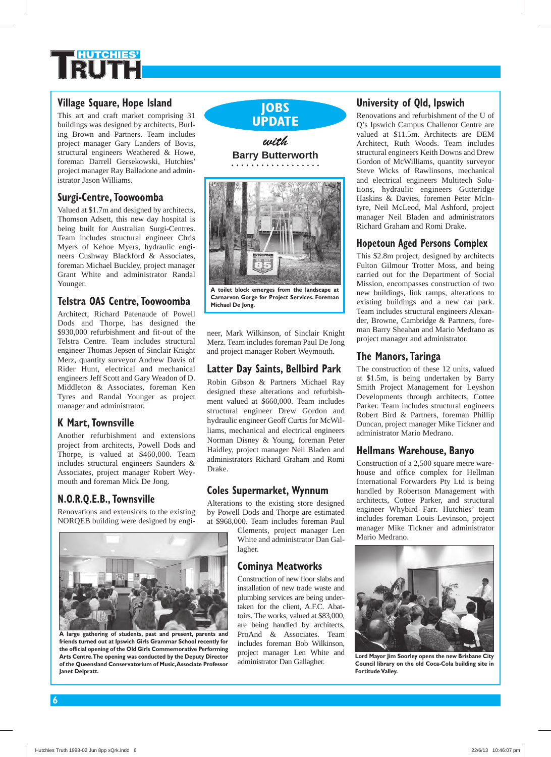#### **Village Square, Hope Island**

This art and craft market comprising 31 buildings was designed by architects, Burling Brown and Partners. Team includes project manager Gary Landers of Bovis, structural engineers Weathered & Howe, foreman Darrell Gersekowski, Hutchies' project manager Ray Balladone and administrator Jason Williams.

#### **Surgi-Centre, Toowoomba**

Valued at \$1.7m and designed by architects, Thomson Adsett, this new day hospital is being built for Australian Surgi-Centres. Team includes structural engineer Chris Myers of Kehoe Myers, hydraulic engineers Cushway Blackford & Associates, foreman Michael Buckley, project manager Grant White and administrator Randal Younger.

#### **Telstra OAS Centre, Toowoomba**

Architect, Richard Patenaude of Powell Dods and Thorpe, has designed the \$930,000 refurbishment and fit-out of the Telstra Centre. Team includes structural engineer Thomas Jepsen of Sinclair Knight Merz, quantity surveyor Andrew Davis of Rider Hunt, electrical and mechanical engineers Jeff Scott and Gary Weadon of D. Middleton & Associates, foreman Ken Tyres and Randal Younger as project manager and administrator.

#### **K Mart, Townsville**

Another refurbishment and extensions project from architects, Powell Dods and Thorpe, is valued at \$460,000. Team includes structural engineers Saunders & Associates, project manager Robert Weymouth and foreman Mick De Jong.

#### **N.O.R.Q.E.B., Townsville**

Renovations and extensions to the existing NORQEB building were designed by engi-



**A large gathering of students, past and present, parents and friends turned out at Ipswich Girls Grammar School recently for the official opening of the Old Girls Commemorative Performing Arts Centre. The opening was conducted by the Deputy Director of the Queensland Conservatorium of Music, Associate Professor Janet Delpratt.**

**JOBS UPDATE** *with* **Barry Butterworth**



**A toilet block emerges from the landscape at Carnarvon Gorge for Project Services. Foreman Michael De Jong.**

neer, Mark Wilkinson, of Sinclair Knight Merz. Team includes foreman Paul De Jong and project manager Robert Weymouth.

#### **Latter Day Saints, Bellbird Park**

Robin Gibson & Partners Michael Ray designed these alterations and refurbishment valued at \$660,000. Team includes structural engineer Drew Gordon and hydraulic engineer Geoff Curtis for McWilliams, mechanical and electrical engineers Norman Disney & Young, foreman Peter Haidley, project manager Neil Bladen and administrators Richard Graham and Romi Drake.

#### **Coles Supermarket, Wynnum**

Alterations to the existing store designed by Powell Dods and Thorpe are estimated at \$968,000. Team includes foreman Paul

Clements, project manager Len White and administrator Dan Gallagher.

#### **Cominya Meatworks**

Construction of new floor slabs and installation of new trade waste and plumbing services are being undertaken for the client, A.F.C. Abattoirs. The works, valued at \$83,000, are being handled by architects, ProAnd & Associates. Team includes foreman Bob Wilkinson, project manager Len White and administrator Dan Gallagher.

#### **University of Qld, Ipswich**

Renovations and refurbishment of the U of Q's Ipswich Campus Challenor Centre are valued at \$11.5m. Architects are DEM Architect, Ruth Woods. Team includes structural engineers Keith Downs and Drew Gordon of McWilliams, quantity surveyor Steve Wicks of Rawlinsons, mechanical and electrical engineers Multitech Solutions, hydraulic engineers Gutteridge Haskins & Davies, foremen Peter McIntyre, Neil McLeod, Mal Ashford, project manager Neil Bladen and administrators Richard Graham and Romi Drake.

#### **Hopetoun Aged Persons Complex**

This \$2.8m project, designed by architects Fulton Gilmour Trotter Moss, and being carried out for the Department of Social Mission, encompasses construction of two new buildings, link ramps, alterations to existing buildings and a new car park. Team includes structural engineers Alexander, Browne, Cambridge & Partners, foreman Barry Sheahan and Mario Medrano as project manager and administrator.

#### **The Manors, Taringa**

The construction of these 12 units, valued at \$1.5m, is being undertaken by Barry Smith Project Management for Leyshon Developments through architects, Cottee Parker. Team includes structural engineers Robert Bird & Partners, foreman Phillip Duncan, project manager Mike Tickner and administrator Mario Medrano.

#### **Hellmans Warehouse, Banyo**

Construction of a 2,500 square metre warehouse and office complex for Hellman International Forwarders Pty Ltd is being handled by Robertson Management with architects, Cottee Parker, and structural engineer Whybird Farr. Hutchies' team includes foreman Louis Levinson, project manager Mike Tickner and administrator Mario Medrano.



**Lord Mayor Jim Soorley opens the new Brisbane City Council library on the old Coca-Cola building site in Fortitude Valley.**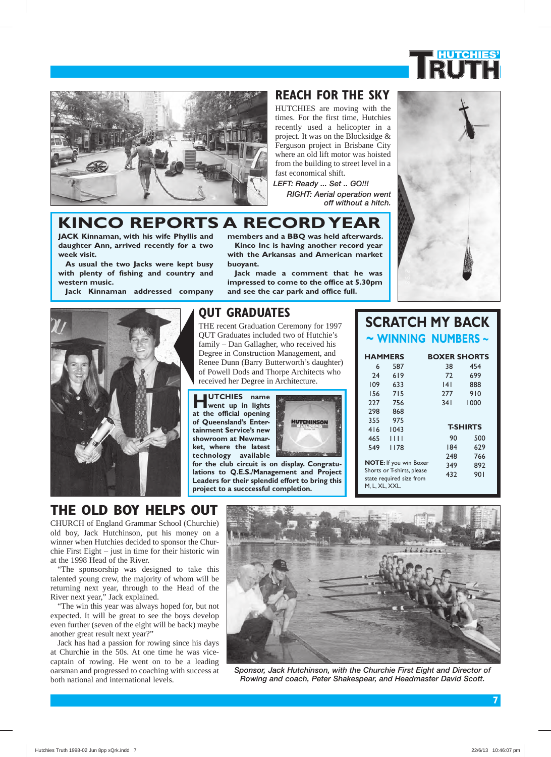



### **REACH FOR THE SKY**

HUTCHIES are moving with the times. For the first time, Hutchies recently used a helicopter in a project. It was on the Blocksidge & Ferguson project in Brisbane City where an old lift motor was hoisted from the building to street level in a fast economical shift.

*LEFT: Ready ... Set .. GO!!! RIGHT: Aerial operation went off without a hitch.* 

**Kinco Inc is having another record year with the Arkansas and American market** 

**Jack made a comment that he was impressed to come to the office at 5.30pm and see the car park and office full.** 

#### **KINCO REPORTS A RECORD YEAR members and a BBQ was held afterwards.**

**JACK Kinnaman, with his wife Phyllis and daughter Ann, arrived recently for a two week visit.** 

**As usual the two Jacks were kept busy with plenty of fishing and country and western music.** 

**Jack Kinnaman addressed company** 



#### **QUT GRADUATES**

**buoyant.** 

THE recent Graduation Ceremony for 1997 QUT Graduates included two of Hutchie's family – Dan Gallagher, who received his Degree in Construction Management, and Renee Dunn (Barry Butterworth's daughter) of Powell Dods and Thorpe Architects who received her Degree in Architecture.

**HUTCHIES name went up in lights at the official opening of Queensland's Entertainment Service's new showroom at Newmarket, where the latest technology available** 



**for the club circuit is on display. Congratulations to Q.E.S./Management and Project Leaders for their splendid effort to bring this project to a succcessful completion.** 

### **SCRATCH MY BACK ~ WINNING NUMBERS ~**

|                   | <b>BOXER SHORTS</b>                             |                                                                                                |
|-------------------|-------------------------------------------------|------------------------------------------------------------------------------------------------|
| 587<br>619<br>633 | 38<br>72<br> 4                                  | 454<br>699<br>888                                                                              |
| 715<br>756<br>868 | 277<br>341                                      | 910<br>1000                                                                                    |
| 1043<br>1111      | 90                                              | <b>T-SHIRTS</b><br>500<br>629                                                                  |
|                   | 248<br>349<br>432                               | 766<br>892<br>90 I                                                                             |
|                   | <b>HAMMERS</b><br>975<br>1178<br>M, L, XL, XXL. | 184<br><b>NOTE:</b> If you win Boxer<br>Shorts or T-shirts, please<br>state required size from |

## **THE OLD BOY HELPS OUT**

CHURCH of England Grammar School (Churchie) old boy, Jack Hutchinson, put his money on a winner when Hutchies decided to sponsor the Churchie First Eight – just in time for their historic win at the 1998 Head of the River.

"The sponsorship was designed to take this talented young crew, the majority of whom will be returning next year, through to the Head of the River next year," Jack explained.

"The win this year was always hoped for, but not expected. It will be great to see the boys develop even further (seven of the eight will be back) maybe another great result next year?"

Jack has had a passion for rowing since his days at Churchie in the 50s. At one time he was vicecaptain of rowing. He went on to be a leading oarsman and progressed to coaching with success at both national and international levels.



Sponsor, Jack Hutchinson, with the Churchie First Eight and Director of *Rowing and coach, Peter Shakespear, and Headmaster David Scott.*